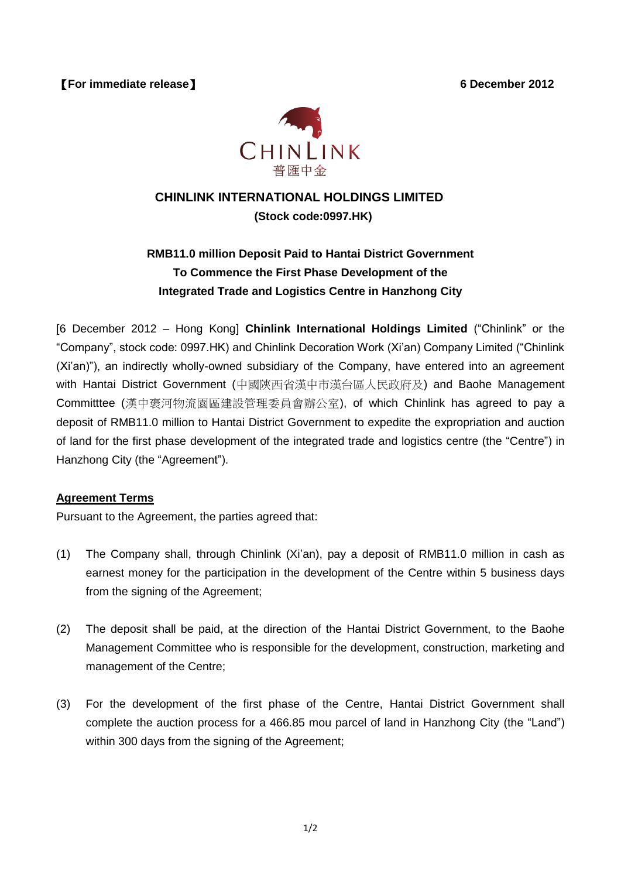【**For immediate release**】 **6 December 2012**



## **CHINLINK INTERNATIONAL HOLDINGS LIMITED (Stock code:0997.HK)**

## **RMB11.0 million Deposit Paid to Hantai District Government To Commence the First Phase Development of the Integrated Trade and Logistics Centre in Hanzhong City**

[6 December 2012 – Hong Kong] **Chinlink International Holdings Limited** ("Chinlink" or the "Company", stock code: 0997.HK) and Chinlink Decoration Work (Xi'an) Company Limited ("Chinlink (Xi'an)"), an indirectly wholly-owned subsidiary of the Company, have entered into an agreement with Hantai District Government (中國陝西省漢中市漢台區人民政府及) and Baohe Management Committtee (漢中褒河物流園區建設管理委員會辦公室), of which Chinlink has agreed to pay a deposit of RMB11.0 million to Hantai District Government to expedite the expropriation and auction of land for the first phase development of the integrated trade and logistics centre (the "Centre") in Hanzhong City (the "Agreement").

## **Agreement Terms**

Pursuant to the Agreement, the parties agreed that:

- (1) The Company shall, through Chinlink (Xi'an), pay a deposit of RMB11.0 million in cash as earnest money for the participation in the development of the Centre within 5 business days from the signing of the Agreement;
- (2) The deposit shall be paid, at the direction of the Hantai District Government, to the Baohe Management Committee who is responsible for the development, construction, marketing and management of the Centre;
- (3) For the development of the first phase of the Centre, Hantai District Government shall complete the auction process for a 466.85 mou parcel of land in Hanzhong City (the "Land") within 300 days from the signing of the Agreement;